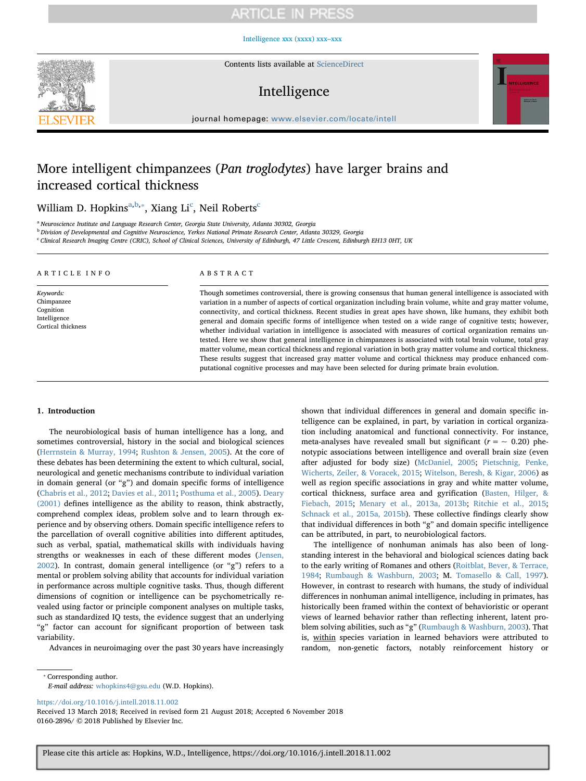# **ARTICLE IN PRESS**

[Intelligence xxx \(xxxx\) xxx–xxx](https://doi.org/10.1016/j.intell.2018.11.002)



Contents lists available at [ScienceDirect](http://www.sciencedirect.com/science/journal/01602896)

# Intelligence



journal homepage: [www.elsevier.com/locate/intell](https://www.elsevier.com/locate/intell)

# More intelligent chimpanzees (Pan troglodytes) have larger brains and increased cortical thickness

Willi[a](#page-0-0)m D. Hopkins $\mathrm{a,b,*},$  $\mathrm{a,b,*},$  $\mathrm{a,b,*},$  Xiang Li $\mathrm{c}$  $\mathrm{c}$  $\mathrm{c}$ , Neil Roberts $\mathrm{c}$ 

<span id="page-0-0"></span><sup>a</sup> Neuroscience Institute and Language Research Center, Georgia State University, Atlanta 30302, Georgia

<span id="page-0-1"></span><sup>b</sup> Division of Developmental and Cognitive Neuroscience, Yerkes National Primate Research Center, Atlanta 30329, Georgia

<span id="page-0-3"></span><sup>c</sup> Clinical Research Imaging Centre (CRIC), School of Clinical Sciences, University of Edinburgh, 47 Little Crescent, Edinburgh EH13 0HT, UK

| ARTICLE INFO       | ABSTRACT                                                                                                         |  |  |  |
|--------------------|------------------------------------------------------------------------------------------------------------------|--|--|--|
| Keywords:          | Though sometimes controversial, there is growing consensus that human general intelligence is associated with    |  |  |  |
| Chimpanzee         | variation in a number of aspects of cortical organization including brain volume, white and gray matter volume,  |  |  |  |
| Cognition          | connectivity, and cortical thickness. Recent studies in great apes have shown, like humans, they exhibit both    |  |  |  |
| Intelligence       | general and domain specific forms of intelligence when tested on a wide range of cognitive tests; however,       |  |  |  |
| Cortical thickness | whether individual variation in intelligence is associated with measures of cortical organization remains un-    |  |  |  |
|                    | tested. Here we show that general intelligence in chimpanzees is associated with total brain volume, total gray  |  |  |  |
|                    | matter volume, mean cortical thickness and regional variation in both gray matter volume and cortical thickness. |  |  |  |
|                    | These results suggest that increased gray matter volume and cortical thickness may produce enhanced com-         |  |  |  |

putational cognitive processes and may have been selected for during primate brain evolution.

# 1. Introduction

The neurobiological basis of human intelligence has a long, and sometimes controversial, history in the social and biological sciences ([Herrnstein & Murray, 1994](#page-5-0); [Rushton & Jensen, 2005\)](#page-6-0). At the core of these debates has been determining the extent to which cultural, social, neurological and genetic mechanisms contribute to individual variation in domain general (or "g") and domain specific forms of intelligence ([Chabris et al., 2012](#page-5-1); [Davies et al., 2011](#page-5-2); [Posthuma et al., 2005](#page-6-1)). [Deary](#page-5-3) [\(2001\)](#page-5-3) defines intelligence as the ability to reason, think abstractly, comprehend complex ideas, problem solve and to learn through experience and by observing others. Domain specific intelligence refers to the parcellation of overall cognitive abilities into different aptitudes, such as verbal, spatial, mathematical skills with individuals having strengths or weaknesses in each of these different modes ([Jensen,](#page-5-4) [2002\)](#page-5-4). In contrast, domain general intelligence (or "g") refers to a mental or problem solving ability that accounts for individual variation in performance across multiple cognitive tasks. Thus, though different dimensions of cognition or intelligence can be psychometrically revealed using factor or principle component analyses on multiple tasks, such as standardized IQ tests, the evidence suggest that an underlying "g" factor can account for significant proportion of between task variability.

Advances in neuroimaging over the past 30 years have increasingly

shown that individual differences in general and domain specific intelligence can be explained, in part, by variation in cortical organization including anatomical and functional connectivity. For instance, meta-analyses have revealed small but significant ( $r = \sim 0.20$ ) phenotypic associations between intelligence and overall brain size (even after adjusted for body size) ([McDaniel, 2005](#page-6-2); [Pietschnig, Penke,](#page-6-3) [Wicherts, Zeiler, & Voracek, 2015;](#page-6-3) [Witelson, Beresh, & Kigar, 2006\)](#page-6-4) as well as region specific associations in gray and white matter volume, cortical thickness, surface area and gyrification [\(Basten, Hilger, &](#page-5-5) [Fiebach, 2015;](#page-5-5) [Menary et al., 2013a, 2013b;](#page-6-5) [Ritchie et al., 2015](#page-6-6); [Schnack et al., 2015a, 2015b](#page-6-7)). These collective findings clearly show that individual differences in both "g" and domain specific intelligence can be attributed, in part, to neurobiological factors.

The intelligence of nonhuman animals has also been of longstanding interest in the behavioral and biological sciences dating back to the early writing of Romanes and others ([Roitblat, Bever, & Terrace,](#page-6-8) [1984;](#page-6-8) [Rumbaugh & Washburn, 2003;](#page-6-9) M. [Tomasello & Call, 1997](#page-6-10)). However, in contrast to research with humans, the study of individual differences in nonhuman animal intelligence, including in primates, has historically been framed within the context of behavioristic or operant views of learned behavior rather than reflecting inherent, latent problem solving abilities, such as "g" ([Rumbaugh & Washburn, 2003](#page-6-9)). That is, within species variation in learned behaviors were attributed to random, non-genetic factors, notably reinforcement history or

<span id="page-0-2"></span>⁎ Corresponding author. E-mail address: [whopkins4@gsu.edu](mailto:whopkins4@gsu.edu) (W.D. Hopkins).

<https://doi.org/10.1016/j.intell.2018.11.002>

Received 13 March 2018; Received in revised form 21 August 2018; Accepted 6 November 2018 0160-2896/ © 2018 Published by Elsevier Inc.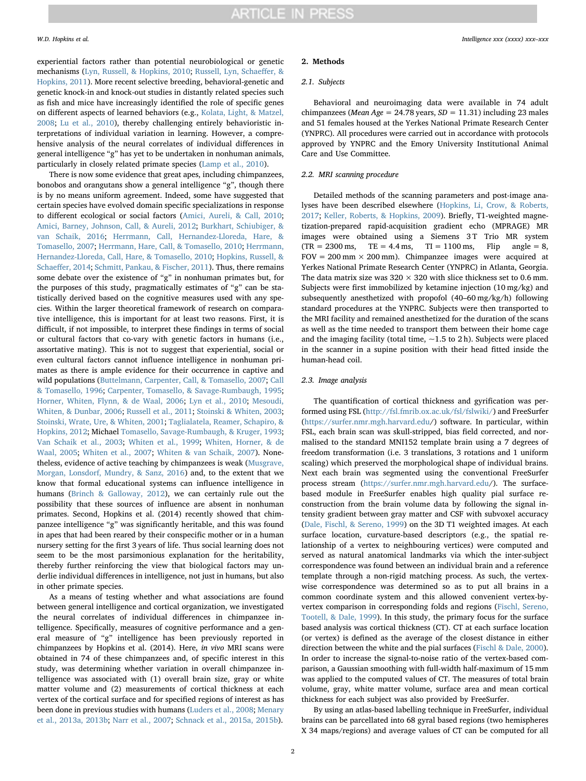experiential factors rather than potential neurobiological or genetic mechanisms [\(Lyn, Russell, & Hopkins, 2010;](#page-5-6) [Russell, Lyn, Schae](#page-6-11)ffer, & [Hopkins, 2011\)](#page-6-11). More recent selective breeding, behavioral-genetic and genetic knock-in and knock-out studies in distantly related species such as fish and mice have increasingly identified the role of specific genes on different aspects of learned behaviors (e.g., [Kolata, Light, & Matzel,](#page-5-7) [2008;](#page-5-7) [Lu et al., 2010](#page-5-8)), thereby challenging entirely behavioristic interpretations of individual variation in learning. However, a comprehensive analysis of the neural correlates of individual differences in general intelligence "g" has yet to be undertaken in nonhuman animals, particularly in closely related primate species [\(Lamp et al., 2010](#page-5-9)).

There is now some evidence that great apes, including chimpanzees, bonobos and orangutans show a general intelligence "g", though there is by no means uniform agreement. Indeed, some have suggested that certain species have evolved domain specific specializations in response to different ecological or social factors ([Amici, Aureli, & Call, 2010](#page-5-10); [Amici, Barney, Johnson, Call, & Aureli, 2012](#page-5-11); [Burkhart, Schiubiger, &](#page-5-12) [van Schaik, 2016](#page-5-12); [Herrmann, Call, Hernandez-Lloreda, Hare, &](#page-5-13) [Tomasello, 2007;](#page-5-13) [Herrmann, Hare, Call, & Tomasello, 2010](#page-5-14); [Herrmann,](#page-5-15) [Hernandez-Lloreda, Call, Hare, & Tomasello, 2010;](#page-5-15) [Hopkins, Russell, &](#page-5-16) Schaeff[er, 2014](#page-5-16); [Schmitt, Pankau, & Fischer, 2011](#page-6-12)). Thus, there remains some debate over the existence of "g" in nonhuman primates but, for the purposes of this study, pragmatically estimates of "g" can be statistically derived based on the cognitive measures used with any species. Within the larger theoretical framework of research on comparative intelligence, this is important for at least two reasons. First, it is difficult, if not impossible, to interpret these findings in terms of social or cultural factors that co-vary with genetic factors in humans (i.e., assortative mating). This is not to suggest that experiential, social or even cultural factors cannot influence intelligence in nonhuman primates as there is ample evidence for their occurrence in captive and wild populations ([Buttelmann, Carpenter, Call, & Tomasello, 2007](#page-5-17); [Call](#page-5-18) [& Tomasello, 1996;](#page-5-18) Carpenter, [Tomasello, & Savage-Rumbaugh, 1995](#page-5-19); [Horner, Whiten, Flynn, & de Waal, 2006;](#page-5-20) [Lyn et al., 2010;](#page-5-6) [Mesoudi,](#page-6-13) [Whiten, & Dunbar, 2006](#page-6-13); [Russell et al., 2011;](#page-6-11) [Stoinski & Whiten, 2003](#page-6-14); [Stoinski, Wrate, Ure, & Whiten, 2001](#page-6-15); [Taglialatela, Reamer, Schapiro, &](#page-6-16) [Hopkins, 2012;](#page-6-16) Michael [Tomasello, Savage-Rumbaugh, & Kruger, 1993](#page-6-17); [Van Schaik et al., 2003;](#page-6-18) [Whiten et al., 1999;](#page-6-19) [Whiten, Horner, & de](#page-6-20) [Waal, 2005;](#page-6-20) [Whiten et al., 2007](#page-6-21); [Whiten & van Schaik, 2007](#page-6-22)). Nonetheless, evidence of active teaching by chimpanzees is weak [\(Musgrave,](#page-6-23) [Morgan, Lonsdorf, Mundry, & Sanz, 2016\)](#page-6-23) and, to the extent that we know that formal educational systems can influence intelligence in humans ([Brinch & Galloway, 2012\)](#page-5-21), we can certainly rule out the possibility that these sources of influence are absent in nonhuman primates. Second, Hopkins et al. (2014) recently showed that chimpanzee intelligence "g" was significantly heritable, and this was found in apes that had been reared by their conspecific mother or in a human nursery setting for the first 3 years of life. Thus social learning does not seem to be the most parsimonious explanation for the heritability, thereby further reinforcing the view that biological factors may underlie individual differences in intelligence, not just in humans, but also in other primate species.

As a means of testing whether and what associations are found between general intelligence and cortical organization, we investigated the neural correlates of individual differences in chimpanzee intelligence. Specifically, measures of cognitive performance and a general measure of "g" intelligence has been previously reported in chimpanzees by Hopkins et al. (2014). Here, in vivo MRI scans were obtained in 74 of these chimpanzees and, of specific interest in this study, was determining whether variation in overall chimpanzee intelligence was associated with (1) overall brain size, gray or white matter volume and (2) measurements of cortical thickness at each vertex of the cortical surface and for specified regions of interest as has been done in previous studies with humans [\(Luders et al., 2008;](#page-5-22) [Menary](#page-6-5) [et al., 2013a, 2013b;](#page-6-5) [Narr et al., 2007](#page-6-24); [Schnack et al., 2015a, 2015b\)](#page-6-7).

# 2. Methods

## 2.1. Subjects

Behavioral and neuroimaging data were available in 74 adult chimpanzees (Mean Age = 24.78 years,  $SD = 11.31$ ) including 23 males and 51 females housed at the Yerkes National Primate Research Center (YNPRC). All procedures were carried out in accordance with protocols approved by YNPRC and the Emory University Institutional Animal Care and Use Committee.

## 2.2. MRI scanning procedure

Detailed methods of the scanning parameters and post-image analyses have been described elsewhere [\(Hopkins, Li, Crow, & Roberts,](#page-5-23) [2017;](#page-5-23) [Keller, Roberts, & Hopkins, 2009\)](#page-5-24). Briefly, T1-weighted magnetization-prepared rapid-acquisition gradient echo (MPRAGE) MR images were obtained using a Siemens 3T Trio MR system  $(TR = 2300 \text{ ms}, \quad TE = 4.4 \text{ ms}, \quad TI = 1100 \text{ ms}, \quad Filip \quad angle = 8,$  $FOV = 200$  mm  $\times$  200 mm). Chimpanzee images were acquired at Yerkes National Primate Research Center (YNPRC) in Atlanta, Georgia. The data matrix size was  $320 \times 320$  with slice thickness set to 0.6 mm. Subjects were first immobilized by ketamine injection (10 mg/kg) and subsequently anesthetized with propofol (40–60 mg/kg/h) following standard procedures at the YNPRC. Subjects were then transported to the MRI facility and remained anesthetized for the duration of the scans as well as the time needed to transport them between their home cage and the imaging facility (total time,  $\sim$ 1.5 to 2 h). Subjects were placed in the scanner in a supine position with their head fitted inside the human-head coil.

# 2.3. Image analysis

The quantification of cortical thickness and gyrification was performed using FSL [\(http://fsl.fmrib.ox.ac.uk/fsl/fslwiki/](http://fsl.fmrib.ox.ac.uk/fsl/fslwiki/)) and FreeSurfer (<https://surfer.nmr.mgh.harvard.edu>/) software. In particular, within FSL, each brain scan was skull-stripped, bias field corrected, and normalised to the standard MNI152 template brain using a 7 degrees of freedom transformation (i.e. 3 translations, 3 rotations and 1 uniform scaling) which preserved the morphological shape of individual brains. Next each brain was segmented using the conventional FreeSurfer process stream (<https://surfer.nmr.mgh.harvard.edu>/). The surfacebased module in FreeSurfer enables high quality pial surface reconstruction from the brain volume data by following the signal intensity gradient between gray matter and CSF with subvoxel accuracy ([Dale, Fischl, & Sereno, 1999\)](#page-5-25) on the 3D T1 weighted images. At each surface location, curvature-based descriptors (e.g., the spatial relationship of a vertex to neighbouring vertices) were computed and served as natural anatomical landmarks via which the inter-subject correspondence was found between an individual brain and a reference template through a non-rigid matching process. As such, the vertexwise correspondence was determined so as to put all brains in a common coordinate system and this allowed convenient vertex-byvertex comparison in corresponding folds and regions ([Fischl, Sereno,](#page-5-26) [Tootell, & Dale, 1999](#page-5-26)). In this study, the primary focus for the surface based analysis was cortical thickness (CT). CT at each surface location (or vertex) is defined as the average of the closest distance in either direction between the white and the pial surfaces [\(Fischl & Dale, 2000](#page-5-27)). In order to increase the signal-to-noise ratio of the vertex-based comparison, a Gaussian smoothing with full-width half-maximum of 15 mm was applied to the computed values of CT. The measures of total brain volume, gray, white matter volume, surface area and mean cortical thickness for each subject was also provided by FreeSurfer.

By using an atlas-based labelling technique in FreeSurfer, individual brains can be parcellated into 68 gyral based regions (two hemispheres X 34 maps/regions) and average values of CT can be computed for all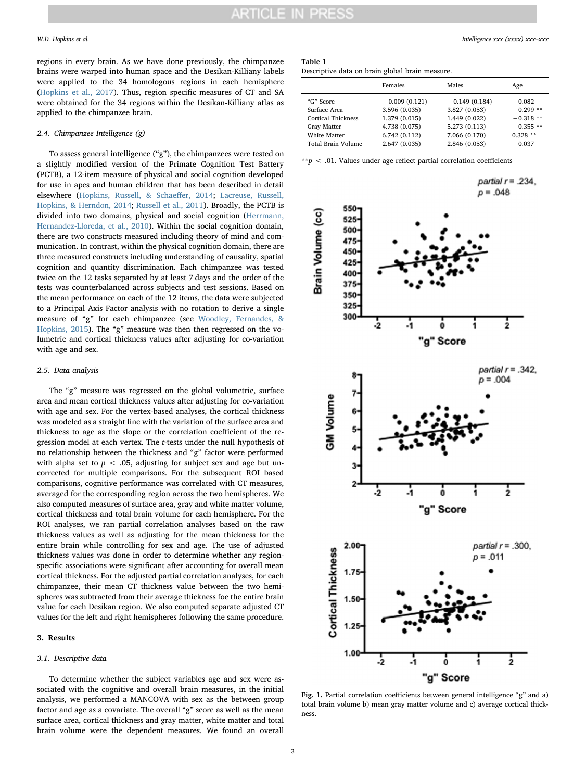regions in every brain. As we have done previously, the chimpanzee brains were warped into human space and the Desikan-Killiany labels were applied to the 34 homologous regions in each hemisphere ([Hopkins et al., 2017\)](#page-5-23). Thus, region specific measures of CT and SA were obtained for the 34 regions within the Desikan-Killiany atlas as applied to the chimpanzee brain.

# 2.4. Chimpanzee Intelligence (g)

To assess general intelligence ("g"), the chimpanzees were tested on a slightly modified version of the Primate Cognition Test Battery (PCTB), a 12-item measure of physical and social cognition developed for use in apes and human children that has been described in detail elsewhere ([Hopkins, Russell, & Schae](#page-5-16)ffer, 2014; [Lacreuse, Russell,](#page-5-28) [Hopkins, & Herndon, 2014;](#page-5-28) [Russell et al., 2011\)](#page-6-11). Broadly, the PCTB is divided into two domains, physical and social cognition ([Herrmann,](#page-5-15) [Hernandez-Lloreda, et al., 2010](#page-5-15)). Within the social cognition domain, there are two constructs measured including theory of mind and communication. In contrast, within the physical cognition domain, there are three measured constructs including understanding of causality, spatial cognition and quantity discrimination. Each chimpanzee was tested twice on the 12 tasks separated by at least 7 days and the order of the tests was counterbalanced across subjects and test sessions. Based on the mean performance on each of the 12 items, the data were subjected to a Principal Axis Factor analysis with no rotation to derive a single measure of "g" for each chimpanzee (see [Woodley, Fernandes, &](#page-6-25) [Hopkins, 2015\)](#page-6-25). The "g" measure was then then regressed on the volumetric and cortical thickness values after adjusting for co-variation with age and sex.

# 2.5. Data analysis

The "g" measure was regressed on the global volumetric, surface area and mean cortical thickness values after adjusting for co-variation with age and sex. For the vertex-based analyses, the cortical thickness was modeled as a straight line with the variation of the surface area and thickness to age as the slope or the correlation coefficient of the regression model at each vertex. The t-tests under the null hypothesis of no relationship between the thickness and "g" factor were performed with alpha set to  $p < .05$ , adjusting for subject sex and age but uncorrected for multiple comparisons. For the subsequent ROI based comparisons, cognitive performance was correlated with CT measures, averaged for the corresponding region across the two hemispheres. We also computed measures of surface area, gray and white matter volume, cortical thickness and total brain volume for each hemisphere. For the ROI analyses, we ran partial correlation analyses based on the raw thickness values as well as adjusting for the mean thickness for the entire brain while controlling for sex and age. The use of adjusted thickness values was done in order to determine whether any regionspecific associations were significant after accounting for overall mean cortical thickness. For the adjusted partial correlation analyses, for each chimpanzee, their mean CT thickness value between the two hemispheres was subtracted from their average thickness foe the entire brain value for each Desikan region. We also computed separate adjusted CT values for the left and right hemispheres following the same procedure.

# 3. Results

## 3.1. Descriptive data

To determine whether the subject variables age and sex were associated with the cognitive and overall brain measures, in the initial analysis, we performed a MANCOVA with sex as the between group factor and age as a covariate. The overall "g" score as well as the mean surface area, cortical thickness and gray matter, white matter and total brain volume were the dependent measures. We found an overall

# <span id="page-2-0"></span>Table 1

Descriptive data on brain global brain measure.

|                                                                                                      | Females                                                                                             | Males                                                                                                | Age                                                                         |
|------------------------------------------------------------------------------------------------------|-----------------------------------------------------------------------------------------------------|------------------------------------------------------------------------------------------------------|-----------------------------------------------------------------------------|
| "G" Score<br>Surface Area<br>Cortical Thickness<br>Gray Matter<br>White Matter<br>Total Brain Volume | $-0.009(0.121)$<br>3.596 (0.035)<br>1.379 (0.015)<br>4.738 (0.075)<br>6.742(0.112)<br>2.647 (0.035) | $-0.149(0.184)$<br>3.827 (0.053)<br>1.449 (0.022)<br>5.273 (0.113)<br>7.066 (0.170)<br>2.846 (0.053) | $-0.082$<br>$-0.299**$<br>$-0.318**$<br>$-0.355**$<br>$0.328**$<br>$-0.037$ |
|                                                                                                      |                                                                                                     |                                                                                                      |                                                                             |

\*\*p < .01. Values under age reflect partial correlation coefficients

<span id="page-2-1"></span>

Fig. 1. Partial correlation coefficients between general intelligence "g" and a) total brain volume b) mean gray matter volume and c) average cortical thickness.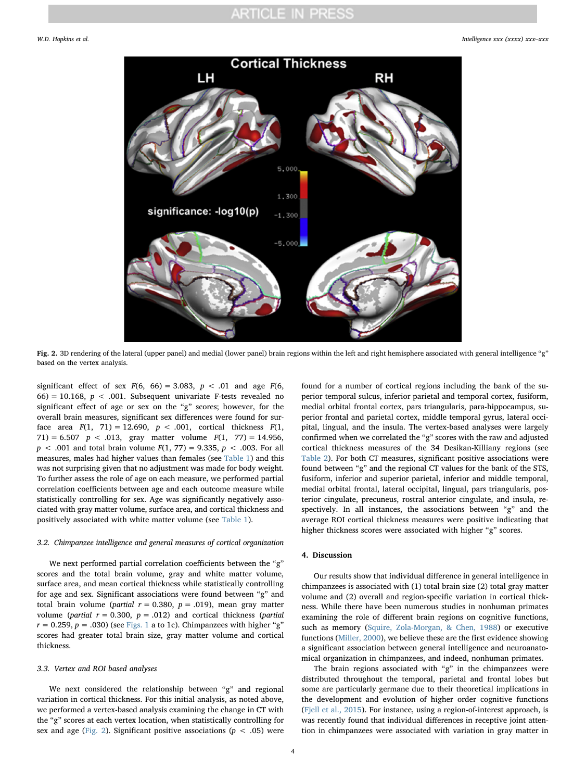# **ARTICLE IN PRESS**

<span id="page-3-0"></span>

Fig. 2. 3D rendering of the lateral (upper panel) and medial (lower panel) brain regions within the left and right hemisphere associated with general intelligence "g" based on the vertex analysis.

significant effect of sex  $F(6, 66) = 3.083$ ,  $p < .01$  and age  $F(6, 66) = 3.083$ 66) = 10.168,  $p < .001$ . Subsequent univariate F-tests revealed no significant effect of age or sex on the "g" scores; however, for the overall brain measures, significant sex differences were found for surface area  $F(1, 71) = 12.690$ ,  $p < .001$ , cortical thickness  $F(1, 71) = 12.690$ ,  $p < .001$ , cortical thickness  $F(1, 71) = 12.690$ 71) = 6.507  $p < .013$ , gray matter volume  $F(1, 77) = 14.956$ ,  $p < .001$  and total brain volume  $F(1, 77) = 9.335, p < .003$ . For all measures, males had higher values than females (see [Table 1\)](#page-2-0) and this was not surprising given that no adjustment was made for body weight. To further assess the role of age on each measure, we performed partial correlation coefficients between age and each outcome measure while statistically controlling for sex. Age was significantly negatively associated with gray matter volume, surface area, and cortical thickness and positively associated with white matter volume (see [Table 1](#page-2-0)).

## 3.2. Chimpanzee intelligence and general measures of cortical organization

We next performed partial correlation coefficients between the "g" scores and the total brain volume, gray and white matter volume, surface area, and mean cortical thickness while statistically controlling for age and sex. Significant associations were found between "g" and total brain volume (partial  $r = 0.380$ ,  $p = .019$ ), mean gray matter volume (partial  $r = 0.300$ ,  $p = .012$ ) and cortical thickness (partial  $r = 0.259$ ,  $p = .030$ ) (see [Figs. 1](#page-2-1) a to 1c). Chimpanzees with higher "g" scores had greater total brain size, gray matter volume and cortical thickness.

# 3.3. Vertex and ROI based analyses

We next considered the relationship between "g" and regional variation in cortical thickness. For this initial analysis, as noted above, we performed a vertex-based analysis examining the change in CT with the "g" scores at each vertex location, when statistically controlling for sex and age ([Fig. 2](#page-3-0)). Significant positive associations ( $p < .05$ ) were found for a number of cortical regions including the bank of the superior temporal sulcus, inferior parietal and temporal cortex, fusiform, medial orbital frontal cortex, pars triangularis, para-hippocampus, superior frontal and parietal cortex, middle temporal gyrus, lateral occipital, lingual, and the insula. The vertex-based analyses were largely confirmed when we correlated the "g" scores with the raw and adjusted cortical thickness measures of the 34 Desikan-Killiany regions (see [Table 2](#page-4-0)). For both CT measures, significant positive associations were found between "g" and the regional CT values for the bank of the STS, fusiform, inferior and superior parietal, inferior and middle temporal, medial orbital frontal, lateral occipital, lingual, pars triangularis, posterior cingulate, precuneus, rostral anterior cingulate, and insula, respectively. In all instances, the associations between "g" and the average ROI cortical thickness measures were positive indicating that higher thickness scores were associated with higher "g" scores.

# 4. Discussion

Our results show that individual difference in general intelligence in chimpanzees is associated with (1) total brain size (2) total gray matter volume and (2) overall and region-specific variation in cortical thickness. While there have been numerous studies in nonhuman primates examining the role of different brain regions on cognitive functions, such as memory ([Squire, Zola-Morgan, & Chen, 1988\)](#page-6-26) or executive functions ([Miller, 2000](#page-6-27)), we believe these are the first evidence showing a significant association between general intelligence and neuroanatomical organization in chimpanzees, and indeed, nonhuman primates.

The brain regions associated with "g" in the chimpanzees were distributed throughout the temporal, parietal and frontal lobes but some are particularly germane due to their theoretical implications in the development and evolution of higher order cognitive functions ([Fjell et al., 2015\)](#page-5-29). For instance, using a region-of-interest approach, is was recently found that individual differences in receptive joint attention in chimpanzees were associated with variation in gray matter in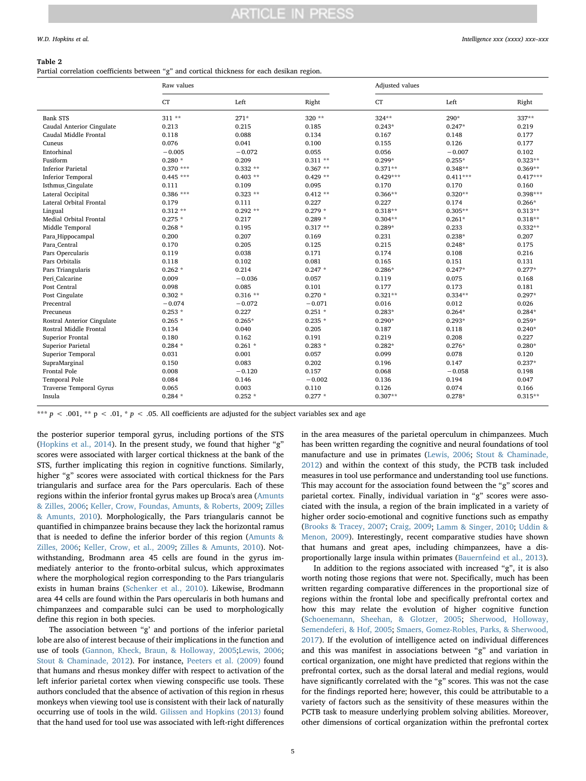## <span id="page-4-0"></span>Table 2

Partial correlation coefficients between "g" and cortical thickness for each desikan region

|                            | Raw values  |            |           |            | Adjusted values |            |  |
|----------------------------|-------------|------------|-----------|------------|-----------------|------------|--|
|                            | CT          | Left       | Right     | CT         | Left            | Right      |  |
| <b>Bank STS</b>            | $311**$     | $271*$     | $320**$   | $324**$    | 290*            | 337**      |  |
| Caudal Anterior Cingulate  | 0.213       | 0.215      | 0.185     | $0.243*$   | $0.247*$        | 0.219      |  |
| Caudal Middle Frontal      | 0.118       | 0.088      | 0.134     | 0.167      | 0.148           | 0.177      |  |
| Cuneus                     | 0.076       | 0.041      | 0.100     | 0.155      | 0.126           | 0.177      |  |
| Entorhinal                 | $-0.005$    | $-0.072$   | 0.055     | 0.056      | $-0.007$        | 0.102      |  |
| Fusiform                   | $0.280*$    | 0.209      | $0.311**$ | $0.299*$   | $0.255*$        | $0.323**$  |  |
| <b>Inferior Parietal</b>   | $0.370$ *** | $0.332**$  | $0.367**$ | $0.371**$  | $0.348**$       | $0.369**$  |  |
| <b>Inferior Temporal</b>   | $0.445***$  | $0.403$ ** | $0.429**$ | $0.429***$ | $0.411***$      | $0.417***$ |  |
| Isthmus_Cingulate          | 0.111       | 0.109      | 0.095     | 0.170      | 0.170           | 0.160      |  |
| Lateral Occipital          | $0.386$ *** | $0.323**$  | $0.412**$ | $0.366**$  | $0.320**$       | $0.398***$ |  |
| Lateral Orbital Frontal    | 0.179       | 0.111      | 0.227     | 0.227      | 0.174           | $0.266*$   |  |
| Lingual                    | $0.312**$   | $0.292**$  | $0.279 *$ | $0.318**$  | $0.305**$       | $0.313**$  |  |
| Medial Orbital Frontal     | $0.275 *$   | 0.217      | $0.289*$  | $0.304**$  | $0.261*$        | $0.318**$  |  |
| Middle Temporal            | $0.268 *$   | 0.195      | $0.317**$ | $0.289*$   | 0.233           | $0.332**$  |  |
| Para_Hippocampal           | 0.200       | 0.207      | 0.169     | 0.231      | $0.238*$        | 0.207      |  |
| Para_Central               | 0.170       | 0.205      | 0.125     | 0.215      | $0.248*$        | 0.175      |  |
| Pars Opercularis           | 0.119       | 0.038      | 0.171     | 0.174      | 0.108           | 0.216      |  |
| Pars Orbitalis             | 0.118       | 0.102      | 0.081     | 0.165      | 0.151           | 0.131      |  |
| Pars Triangularis          | $0.262*$    | 0.214      | $0.247 *$ | $0.286*$   | $0.247*$        | $0.277*$   |  |
| Peri_Calcarine             | 0.009       | $-0.036$   | 0.057     | 0.119      | 0.075           | 0.168      |  |
| Post Central               | 0.098       | 0.085      | 0.101     | 0.177      | 0.173           | 0.181      |  |
| Post Cingulate             | $0.302 *$   | $0.316**$  | $0.270*$  | $0.321**$  | $0.334**$       | $0.297*$   |  |
| Precentral                 | $-0.074$    | $-0.072$   | $-0.071$  | 0.016      | 0.012           | 0.026      |  |
| Precuneus                  | $0.253 *$   | 0.227      | $0.251 *$ | $0.283*$   | $0.264*$        | $0.284*$   |  |
| Rostral Anterior Cingulate | $0.265*$    | $0.265*$   | $0.235 *$ | $0.290*$   | $0.293*$        | $0.259*$   |  |
| Rostral Middle Frontal     | 0.134       | 0.040      | 0.205     | 0.187      | 0.118           | $0.240*$   |  |
| Superior Frontal           | 0.180       | 0.162      | 0.191     | 0.219      | 0.208           | 0.227      |  |
| Superior Parietal          | $0.284 *$   | $0.261*$   | $0.283*$  | $0.282*$   | $0.276*$        | $0.280*$   |  |
| Superior Temporal          | 0.031       | 0.001      | 0.057     | 0.099      | 0.078           | 0.120      |  |
| SupraMarginal              | 0.150       | 0.083      | 0.202     | 0.196      | 0.147           | $0.237*$   |  |
| <b>Frontal Pole</b>        | 0.008       | $-0.120$   | 0.157     | 0.068      | $-0.058$        | 0.198      |  |
| Temporal Pole              | 0.084       | 0.146      | $-0.002$  | 0.136      | 0.194           | 0.047      |  |
| Traverse Temporal Gyrus    | 0.065       | 0.003      | 0.110     | 0.126      | 0.074           | 0.166      |  |
| Insula                     | $0.284*$    | $0.252*$   | $0.277*$  | $0.307**$  | $0.278*$        | $0.315**$  |  |

\*\*\* p < .001, \*\* p < .01, \* p < .05. All coefficients are adjusted for the subject variables sex and age

the posterior superior temporal gyrus, including portions of the STS ([Hopkins et al., 2014\)](#page-5-30). In the present study, we found that higher "g" scores were associated with larger cortical thickness at the bank of the STS, further implicating this region in cognitive functions. Similarly, higher "g" scores were associated with cortical thickness for the Pars triangularis and surface area for the Pars opercularis. Each of these regions within the inferior frontal gyrus makes up Broca's area ([Amunts](#page-5-31) [& Zilles, 2006](#page-5-31); [Keller, Crow, Foundas, Amunts, & Roberts, 2009](#page-5-32); [Zilles](#page-6-28) [& Amunts, 2010\)](#page-6-28). Morphologically, the Pars triangularis cannot be quantified in chimpanzee brains because they lack the horizontal ramus that is needed to define the inferior border of this region ([Amunts &](#page-5-31) [Zilles, 2006;](#page-5-31) [Keller, Crow, et al., 2009;](#page-5-32) [Zilles & Amunts, 2010\)](#page-6-28). Notwithstanding, Brodmann area 45 cells are found in the gyrus immediately anterior to the fronto-orbital sulcus, which approximates where the morphological region corresponding to the Pars triangularis exists in human brains ([Schenker et al., 2010\)](#page-6-29). Likewise, Brodmann area 44 cells are found within the Pars opercularis in both humans and chimpanzees and comparable sulci can be used to morphologically define this region in both species.

The association between "g' and portions of the inferior parietal lobe are also of interest because of their implications in the function and use of tools ([Gannon, Kheck, Braun, & Holloway, 2005;](#page-5-33)[Lewis, 2006](#page-5-34); [Stout & Chaminade, 2012\)](#page-6-30). For instance, [Peeters et al. \(2009\)](#page-6-31) found that humans and rhesus monkey differ with respect to activation of the left inferior parietal cortex when viewing conspecific use tools. These authors concluded that the absence of activation of this region in rhesus monkeys when viewing tool use is consistent with their lack of naturally occurring use of tools in the wild. [Gilissen and Hopkins \(2013\)](#page-5-35) found that the hand used for tool use was associated with left-right differences in the area measures of the parietal operculum in chimpanzees. Much has been written regarding the cognitive and neural foundations of tool manufacture and use in primates ([Lewis, 2006](#page-5-34); [Stout & Chaminade,](#page-6-30) [2012\)](#page-6-30) and within the context of this study, the PCTB task included measures in tool use performance and understanding tool use functions. This may account for the association found between the "g" scores and parietal cortex. Finally, individual variation in "g" scores were associated with the insula, a region of the brain implicated in a variety of higher order socio-emotional and cognitive functions such as empathy ([Brooks & Tracey, 2007;](#page-5-36) [Craig, 2009;](#page-5-37) Lamm [& Singer, 2010](#page-5-38); [Uddin &](#page-6-32) [Menon, 2009\)](#page-6-32). Interestingly, recent comparative studies have shown that humans and great apes, including chimpanzees, have a disproportionally large insula within primates ([Bauernfeind et al., 2013](#page-5-39)).

In addition to the regions associated with increased "g", it is also worth noting those regions that were not. Specifically, much has been written regarding comparative differences in the proportional size of regions within the frontal lobe and specifically prefrontal cortex and how this may relate the evolution of higher cognitive function ([Schoenemann, Sheehan, & Glotzer, 2005](#page-6-33); [Sherwood, Holloway,](#page-6-34) [Semendeferi, & Hof, 2005;](#page-6-34) [Smaers, Gomez-Robles, Parks, & Sherwood,](#page-6-35) [2017\)](#page-6-35). If the evolution of intelligence acted on individual differences and this was manifest in associations between "g" and variation in cortical organization, one might have predicted that regions within the prefrontal cortex, such as the dorsal lateral and medial regions, would have significantly correlated with the "g" scores. This was not the case for the findings reported here; however, this could be attributable to a variety of factors such as the sensitivity of these measures within the PCTB task to measure underlying problem solving abilities. Moreover, other dimensions of cortical organization within the prefrontal cortex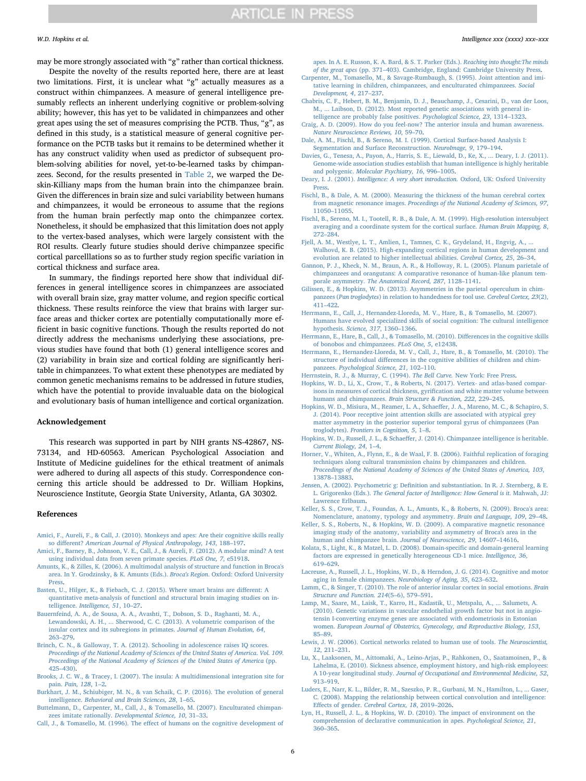may be more strongly associated with "g" rather than cortical thickness.

Despite the novelty of the results reported here, there are at least two limitations. First, it is unclear what "g" actually measures as a construct within chimpanzees. A measure of general intelligence presumably reflects an inherent underlying cognitive or problem-solving ability; however, this has yet to be validated in chimpanzees and other great apes using the set of measures comprising the PCTB. Thus, "g", as defined in this study, is a statistical measure of general cognitive performance on the PCTB tasks but it remains to be determined whether it has any construct validity when used as predictor of subsequent problem-solving abilities for novel, yet-to-be-learned tasks by chimpanzees. Second, for the results presented in [Table 2,](#page-4-0) we warped the Deskin-Killiany maps from the human brain into the chimpanzee brain. Given the differences in brain size and sulci variability between humans and chimpanzees, it would be erroneous to assume that the regions from the human brain perfectly map onto the chimpanzee cortex. Nonetheless, it should be emphasized that this limitation does not apply to the vertex-based analyses, which were largely consistent with the ROI results. Clearly future studies should derive chimpanzee specific cortical parcelllations so as to further study region specific variation in cortical thickness and surface area.

In summary, the findings reported here show that individual differences in general intelligence scores in chimpanzees are associated with overall brain size, gray matter volume, and region specific cortical thickness. These results reinforce the view that brains with larger surface areas and thicker cortex are potentially computationally more efficient in basic cognitive functions. Though the results reported do not directly address the mechanisms underlying these associations, previous studies have found that both (1) general intelligence scores and (2) variability in brain size and cortical folding are significantly heritable in chimpanzees. To what extent these phenotypes are mediated by common genetic mechanisms remains to be addressed in future studies, which have the potential to provide invaluable data on the biological and evolutionary basis of human intelligence and cortical organization.

# Acknowledgement

This research was supported in part by NIH grants NS-42867, NS-73134, and HD-60563. American Psychological Association and Institute of Medicine guidelines for the ethical treatment of animals were adhered to during all aspects of this study. Correspondence concerning this article should be addressed to Dr. William Hopkins, Neuroscience Institute, Georgia State University, Atlanta, GA 30302.

### References

- <span id="page-5-10"></span>[Amici, F., Aureli, F., & Call, J. \(2010\). Monkeys and apes: Are their cognitive skills really](http://refhub.elsevier.com/S0160-2896(18)30060-6/rf0005) so different? [American Journal of Physical Anthropology, 143](http://refhub.elsevier.com/S0160-2896(18)30060-6/rf0005), 188–197.
- <span id="page-5-11"></span>[Amici, F., Barney, B., Johnson, V. E., Call, J., & Aureli, F. \(2012\). A modular mind? A test](http://refhub.elsevier.com/S0160-2896(18)30060-6/rf0010) [using individual data from seven primate species.](http://refhub.elsevier.com/S0160-2896(18)30060-6/rf0010) PLoS One, 7, e51918.
- <span id="page-5-31"></span>[Amunts, K., & Zilles, K. \(2006\). A multimodal analysis of structure and function in Broca's](http://refhub.elsevier.com/S0160-2896(18)30060-6/rf0015) [area. In Y. Grodzinsky, & K. Amunts \(Eds.\).](http://refhub.elsevier.com/S0160-2896(18)30060-6/rf0015) Broca's Region. Oxford: Oxford University **Press**
- <span id="page-5-5"></span>[Basten, U., Hilger, K., & Fiebach, C. J. \(2015\). Where smart brains are di](http://refhub.elsevier.com/S0160-2896(18)30060-6/rf0020)fferent: A [quantitative meta-analysis of functionl and structural brain imaging studies on in](http://refhub.elsevier.com/S0160-2896(18)30060-6/rf0020)telligence. [Intelligence, 51](http://refhub.elsevier.com/S0160-2896(18)30060-6/rf0020), 10–27.
- <span id="page-5-39"></span>[Bauernfeind, A. A., de Sousa, A. A., Avashti, T., Dobson, S. D., Raghanti, M. A.,](http://refhub.elsevier.com/S0160-2896(18)30060-6/rf0025) [Lewandowski, A. H., ... Sherwood, C. C. \(2013\). A volumetric comparison of the](http://refhub.elsevier.com/S0160-2896(18)30060-6/rf0025) [insular cortex and its subregions in primates.](http://refhub.elsevier.com/S0160-2896(18)30060-6/rf0025) Journal of Human Evolution, 64, 263–[279](http://refhub.elsevier.com/S0160-2896(18)30060-6/rf0025).
- <span id="page-5-21"></span>[Brinch, C. N., & Galloway, T. A. \(2012\). Schooling in adolescence raises IQ scores.](http://refhub.elsevier.com/S0160-2896(18)30060-6/rf0030) [Proceedings of the National Academy of Sciences of the United States of America](http://refhub.elsevier.com/S0160-2896(18)30060-6/rf0030). Vol. 109. [Proceedings of the National Academy of Sciences of the United States of America](http://refhub.elsevier.com/S0160-2896(18)30060-6/rf0030) (pp. 425–[430\).](http://refhub.elsevier.com/S0160-2896(18)30060-6/rf0030)
- <span id="page-5-36"></span>[Brooks, J. C. W., & Tracey, I. \(2007\). The insula: A multidimensional integration site for](http://refhub.elsevier.com/S0160-2896(18)30060-6/rf0035) pain. [Pain, 128](http://refhub.elsevier.com/S0160-2896(18)30060-6/rf0035), 1–2.
- <span id="page-5-12"></span>[Burkhart, J. M., Schiubiger, M. N., & van Schaik, C. P. \(2016\). The evolution of general](http://refhub.elsevier.com/S0160-2896(18)30060-6/rf0040) intelligence. [Behavioral and Brain Sciences, 28](http://refhub.elsevier.com/S0160-2896(18)30060-6/rf0040), 1–65.

<span id="page-5-17"></span>[Buttelmann, D., Carpenter, M., Call, J., & Tomasello, M. \(2007\). Enculturated chimpan](http://refhub.elsevier.com/S0160-2896(18)30060-6/rf0045)zees imitate rationally. [Developmental Science, 10](http://refhub.elsevier.com/S0160-2896(18)30060-6/rf0045), 31–33.

<span id="page-5-18"></span>Call, J., & Tomasello, M. (1996). The eff[ect of humans on the cognitive development of](http://refhub.elsevier.com/S0160-2896(18)30060-6/rf0050)

es. In A. E. Russon, K. A. Bard, & S. T. Parker (Eds.). Reaching into thought: The minds

- <span id="page-5-19"></span>of the great apes (pp. 371–[403\). Cambridge, England: Cambridge University Press.](http://refhub.elsevier.com/S0160-2896(18)30060-6/rf0050) [Carpenter, M., Tomasello, M., & Savage-Rumbaugh, S. \(1995\). Joint attention and imi](http://refhub.elsevier.com/S0160-2896(18)30060-6/rf0055)[tative learning in children, chimpanzees, and enculturated chimpanzees.](http://refhub.elsevier.com/S0160-2896(18)30060-6/rf0055) Social [Development, 4](http://refhub.elsevier.com/S0160-2896(18)30060-6/rf0055), 217–237.
- <span id="page-5-1"></span>[Chabris, C. F., Hebert, B. M., Benjamin, D. J., Beauchamp, J., Cesarini, D., van der Loos,](http://refhub.elsevier.com/S0160-2896(18)30060-6/rf0060) [M., ... Laibson, D. \(2012\). Most reported genetic associations with general in](http://refhub.elsevier.com/S0160-2896(18)30060-6/rf0060)[telligence are probably false positives.](http://refhub.elsevier.com/S0160-2896(18)30060-6/rf0060) Psychological Science, 23, 1314–1323.
- <span id="page-5-37"></span>[Craig, A. D. \(2009\). How do you feel-now? The anterior insula and human awareness.](http://refhub.elsevier.com/S0160-2896(18)30060-6/rf0065) [Nature Neuroscience Reviews, 10](http://refhub.elsevier.com/S0160-2896(18)30060-6/rf0065), 59–70.
- <span id="page-5-25"></span>Dale, [A. M., Fischl, B., & Sereno, M. I. \(1999\). Cortical Surface-based Analysis I:](http://refhub.elsevier.com/S0160-2896(18)30060-6/rf0070) [Segmentation and Surface Reconstruction.](http://refhub.elsevier.com/S0160-2896(18)30060-6/rf0070) NeuroImage, 9, 179–194.
- <span id="page-5-2"></span>[Davies, G., Tenesa, A., Payon, A., Harris, S. E., Liewald, D., Ke, X., ... Deary, I. J. \(2011\).](http://refhub.elsevier.com/S0160-2896(18)30060-6/rf0075) [Genome-wide association studies establish that human intelligence is highly heritable](http://refhub.elsevier.com/S0160-2896(18)30060-6/rf0075) and polygenic. [Molecular Psychiatry, 16](http://refhub.elsevier.com/S0160-2896(18)30060-6/rf0075), 996–1005.
- <span id="page-5-3"></span>Deary, I. J. (2001). [Intelligence: A very short introduction.](http://refhub.elsevier.com/S0160-2896(18)30060-6/rf0080) Oxford, UK: Oxford University [Press.](http://refhub.elsevier.com/S0160-2896(18)30060-6/rf0080)
- <span id="page-5-27"></span>[Fischl, B., & Dale, A. M. \(2000\). Measuring the thickness of the human cerebral cortex](http://refhub.elsevier.com/S0160-2896(18)30060-6/rf0085) from magnetic resonance images. [Proceedings of the National Academy of Sciences, 97](http://refhub.elsevier.com/S0160-2896(18)30060-6/rf0085), 11050–[11055.](http://refhub.elsevier.com/S0160-2896(18)30060-6/rf0085)
- <span id="page-5-26"></span>[Fischl, B., Sereno, M. I., Tootell, R. B., & Dale, A. M. \(1999\). High-resolution intersubject](http://refhub.elsevier.com/S0160-2896(18)30060-6/rf0090) [averaging and a coordinate system for the cortical surface.](http://refhub.elsevier.com/S0160-2896(18)30060-6/rf0090) Human Brain Mapping, 8, 272–[284](http://refhub.elsevier.com/S0160-2896(18)30060-6/rf0090).
- <span id="page-5-29"></span>[Fjell, A. M., Westlye, L. T., Amlien, I., Tamnes, C. K., Grydeland, H., Engvig, A., ...](http://refhub.elsevier.com/S0160-2896(18)30060-6/rf0095) [Walhovd, K. B. \(2015\). High-expanding cortical regions in human development and](http://refhub.elsevier.com/S0160-2896(18)30060-6/rf0095) [evolution are related to higher intellectual abilities.](http://refhub.elsevier.com/S0160-2896(18)30060-6/rf0095) Cerebral Cortex, 25, 26–34.
- <span id="page-5-33"></span>[Gannon, P. J., Kheck, N. M., Braun, A. R., & Holloway, R. L. \(2005\). Planum parietale of](http://refhub.elsevier.com/S0160-2896(18)30060-6/rf0100) [chimpanzees and orangutans: A comparative resonance of human-like planum tem](http://refhub.elsevier.com/S0160-2896(18)30060-6/rf0100)porale asymmetry. [The Anatomical Record, 287](http://refhub.elsevier.com/S0160-2896(18)30060-6/rf0100), 1128–1141.
- <span id="page-5-35"></span>[Gilissen, E., & Hopkins, W. D. \(2013\). Asymmetries in the parietal operculum in chim](http://refhub.elsevier.com/S0160-2896(18)30060-6/rf2005)panzees (Pan troglodytes[\) in relation to handedness for tool use.](http://refhub.elsevier.com/S0160-2896(18)30060-6/rf2005) Cerebral Cortex, 23(2), 411–[422](http://refhub.elsevier.com/S0160-2896(18)30060-6/rf2005).
- <span id="page-5-13"></span>[Herrmann, E., Call, J., Hernandez-Lloreda, M. V., Hare, B., & Tomasello, M. \(2007\).](http://refhub.elsevier.com/S0160-2896(18)30060-6/rf0105) [Humans have evolved specialized skills of social cognition: The cultural intelligence](http://refhub.elsevier.com/S0160-2896(18)30060-6/rf0105) hypothesis. [Science, 317](http://refhub.elsevier.com/S0160-2896(18)30060-6/rf0105), 1360–1366.
- <span id="page-5-14"></span>[Herrmann, E., Hare, B., Call, J., & Tomasello, M. \(2010\). Di](http://refhub.elsevier.com/S0160-2896(18)30060-6/rf0110)fferences in the cognitive skills [of bonobos and chimpanzees.](http://refhub.elsevier.com/S0160-2896(18)30060-6/rf0110) PLoS One, 5, e12438.
- <span id="page-5-15"></span>[Herrmann, E., Hernandez-Lloreda, M. V., Call, J., Hare, B., & Tomasello, M. \(2010\). The](http://refhub.elsevier.com/S0160-2896(18)30060-6/rf0115) structure of individual diff[erences in the cognitive abilities of children and chim](http://refhub.elsevier.com/S0160-2896(18)30060-6/rf0115)panzees. [Psychological Science, 21](http://refhub.elsevier.com/S0160-2896(18)30060-6/rf0115), 102–110.
- <span id="page-5-0"></span>[Herrnstein, R. J., & Murray, C. \(1994\).](http://refhub.elsevier.com/S0160-2896(18)30060-6/rf0120) The Bell Curve. New York: Free Press.
- <span id="page-5-23"></span>[Hopkins, W. D., Li, X., Crow, T., & Roberts, N. \(2017\). Vertex- and atlas-based compar](http://refhub.elsevier.com/S0160-2896(18)30060-6/rf0125)[isons in measures of cortical thickness, gyri](http://refhub.elsevier.com/S0160-2896(18)30060-6/rf0125)fication and white matter volume between humans and chimpanzees. [Brain Structure & Function, 222](http://refhub.elsevier.com/S0160-2896(18)30060-6/rf0125), 229–245.
- <span id="page-5-30"></span>Hopkins, [W. D., Misiura, M., Reamer, L. A., Schae](http://refhub.elsevier.com/S0160-2896(18)30060-6/rf0130)ffer, J. A., Mareno, M. C., & Schapiro, S. [J. \(2014\). Poor receptive joint attention skills are associated with atypical grey](http://refhub.elsevier.com/S0160-2896(18)30060-6/rf0130) [matter asymmetry in the posterior superior temporal gyrus of chimpanzees \(Pan](http://refhub.elsevier.com/S0160-2896(18)30060-6/rf0130) troglodytes). [Frontiers in Cognition, 5](http://refhub.elsevier.com/S0160-2896(18)30060-6/rf0130), 1–8.
- <span id="page-5-16"></span>Hopkins, W. D., Russell, J. L., & Schaeff[er, J. \(2014\). Chimpanzee intelligence is heritable.](http://refhub.elsevier.com/S0160-2896(18)30060-6/rf0135) [Current Biology, 24](http://refhub.elsevier.com/S0160-2896(18)30060-6/rf0135), 1–4.
- <span id="page-5-20"></span>[Horner, V., Whiten, A., Flynn, E., & de Waal, F. B. \(2006\). Faithful replication of foraging](http://refhub.elsevier.com/S0160-2896(18)30060-6/rf0140) [techniques along cultural transmission chains by chimpanzees and children.](http://refhub.elsevier.com/S0160-2896(18)30060-6/rf0140) [Proceedings of the National Academy of Sciences of the United States of America, 103](http://refhub.elsevier.com/S0160-2896(18)30060-6/rf0140), 13878–[13883.](http://refhub.elsevier.com/S0160-2896(18)30060-6/rf0140)
- <span id="page-5-4"></span>Jensen, A. (2002). Psychometric g: Defi[nition and substantiation. In R. J. Sternberg, & E.](http://refhub.elsevier.com/S0160-2896(18)30060-6/rf0145) L. Grigorenko (Eds.). [The General factor of Intelligence: How General is it](http://refhub.elsevier.com/S0160-2896(18)30060-6/rf0145). Mahwah, JJ: [Lawrence Erlbaum.](http://refhub.elsevier.com/S0160-2896(18)30060-6/rf0145)
- <span id="page-5-32"></span>[Keller, S. S., Crow, T. J., Foundas, A. L., Amunts, K., & Roberts, N. \(2009\). Broca's area:](http://refhub.elsevier.com/S0160-2896(18)30060-6/rf0150) [Nomenclature, anatomy, typology and asymmetry.](http://refhub.elsevier.com/S0160-2896(18)30060-6/rf0150) Brain and Language, 109, 29–48.
- <span id="page-5-24"></span>[Keller, S. S., Roberts, N., & Hopkins, W. D. \(2009\). A comparative magnetic resonance](http://refhub.elsevier.com/S0160-2896(18)30060-6/rf0155) [imaging study of the anatomy, variability and asymmetry of Broca's area in the](http://refhub.elsevier.com/S0160-2896(18)30060-6/rf0155) [human and chimpanzee brain.](http://refhub.elsevier.com/S0160-2896(18)30060-6/rf0155) Journal of Neuroscience, 29, 14607–14616.
- <span id="page-5-7"></span>[Kolata, S., Light, K., & Matzel, L. D. \(2008\). Domain-speci](http://refhub.elsevier.com/S0160-2896(18)30060-6/rf0160)fic and domain-general learning [factors are expressed in genetically hterogeneous CD-1 mice.](http://refhub.elsevier.com/S0160-2896(18)30060-6/rf0160) Intelligence, 36, 619–[629](http://refhub.elsevier.com/S0160-2896(18)30060-6/rf0160).
- <span id="page-5-28"></span>[Lacreuse, A., Russell, J. L., Hopkins, W. D., & Herndon, J. G. \(2014\). Cognitive and motor](http://refhub.elsevier.com/S0160-2896(18)30060-6/rf0165) [aging in female chimpanzees.](http://refhub.elsevier.com/S0160-2896(18)30060-6/rf0165) Neurobiology of Aging, 35, 623–632.
- <span id="page-5-38"></span>[Lamm, C., & Singer, T. \(2010\). The role of anterior insular cortex in social emotions.](http://refhub.elsevier.com/S0160-2896(18)30060-6/rf0170) Brain [Structure and Function. 214](http://refhub.elsevier.com/S0160-2896(18)30060-6/rf0170)(5–6), 579–591.
- <span id="page-5-9"></span>[Lamp, M., Saare, M., Laisk, T., Karro, H., Kadastik, U., Metspalu, A., ... Salumets, A.](http://refhub.elsevier.com/S0160-2896(18)30060-6/rf0175) [\(2010\). Genetic variations in vascular endothelial growth factor but not in angio](http://refhub.elsevier.com/S0160-2896(18)30060-6/rf0175)[tensin I-converting enzyme genes are associated with endometriosis in Estonian](http://refhub.elsevier.com/S0160-2896(18)30060-6/rf0175) women. [European Journal of Obstetrics, Gynecology, and Reproductive Biology, 153](http://refhub.elsevier.com/S0160-2896(18)30060-6/rf0175), 85–[89](http://refhub.elsevier.com/S0160-2896(18)30060-6/rf0175).
- <span id="page-5-34"></span>[Lewis, J. W. \(2006\). Cortical networks related to human use of tools.](http://refhub.elsevier.com/S0160-2896(18)30060-6/rf0180) The Neuroscientist, 12[, 211](http://refhub.elsevier.com/S0160-2896(18)30060-6/rf0180)–231.
- <span id="page-5-8"></span>[Lu, X., Laaksonen, M., Aittomaki, A., Leino-Arjas, P., Rahkonen, O., Saatamoinen, P., &](http://refhub.elsevier.com/S0160-2896(18)30060-6/rf0185) [Lahelma, E. \(2010\). Sickness absence, employment history, and high-risk employees:](http://refhub.elsevier.com/S0160-2896(18)30060-6/rf0185) A 10-year longitudinal study. [Journal of Occupational and Environmental Medicine, 52](http://refhub.elsevier.com/S0160-2896(18)30060-6/rf0185), 913–[919](http://refhub.elsevier.com/S0160-2896(18)30060-6/rf0185).
- <span id="page-5-22"></span>Luders, E., Narr, K. L., Bilder, R. M., Szeszko, P. R., Gurbani, M. N., Hamilton, L., [C. \(2008\). Mapping the relationship between cortical convolution and intelligence:](http://refhub.elsevier.com/S0160-2896(18)30060-6/rf0190) Effects of gender. [Cerebral Cortex, 18](http://refhub.elsevier.com/S0160-2896(18)30060-6/rf0190), 2019–2026.
- <span id="page-5-6"></span>[Lyn, H., Russell, J. L., & Hopkins, W. D. \(2010\). The impact of environment on the](http://refhub.elsevier.com/S0160-2896(18)30060-6/rf0195) [comprehension of declarative communication in apes.](http://refhub.elsevier.com/S0160-2896(18)30060-6/rf0195) Psychological Science, 21, 360–[365](http://refhub.elsevier.com/S0160-2896(18)30060-6/rf0195).